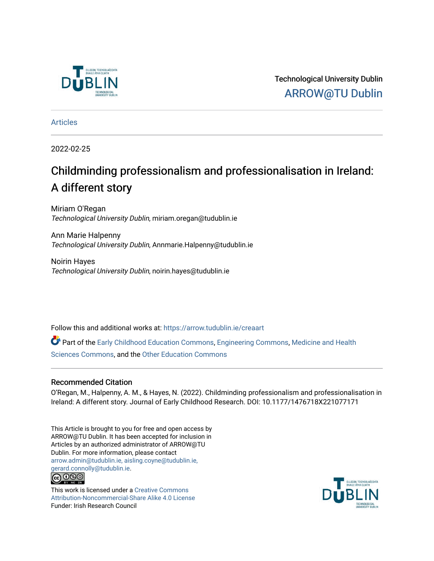

Technological University Dublin [ARROW@TU Dublin](https://arrow.tudublin.ie/) 

[Articles](https://arrow.tudublin.ie/creaart)

2022-02-25

# Childminding professionalism and professionalisation in Ireland: A different story

Miriam O'Regan Technological University Dublin, miriam.oregan@tudublin.ie

Ann Marie Halpenny Technological University Dublin, Annmarie.Halpenny@tudublin.ie

Noirin Hayes Technological University Dublin, noirin.hayes@tudublin.ie

Follow this and additional works at: [https://arrow.tudublin.ie/creaart](https://arrow.tudublin.ie/creaart?utm_source=arrow.tudublin.ie%2Fcreaart%2F59&utm_medium=PDF&utm_campaign=PDFCoverPages) 

Part of the [Early Childhood Education Commons,](http://network.bepress.com/hgg/discipline/1377?utm_source=arrow.tudublin.ie%2Fcreaart%2F59&utm_medium=PDF&utm_campaign=PDFCoverPages) [Engineering Commons](http://network.bepress.com/hgg/discipline/217?utm_source=arrow.tudublin.ie%2Fcreaart%2F59&utm_medium=PDF&utm_campaign=PDFCoverPages), [Medicine and Health](http://network.bepress.com/hgg/discipline/648?utm_source=arrow.tudublin.ie%2Fcreaart%2F59&utm_medium=PDF&utm_campaign=PDFCoverPages)  [Sciences Commons,](http://network.bepress.com/hgg/discipline/648?utm_source=arrow.tudublin.ie%2Fcreaart%2F59&utm_medium=PDF&utm_campaign=PDFCoverPages) and the [Other Education Commons](http://network.bepress.com/hgg/discipline/811?utm_source=arrow.tudublin.ie%2Fcreaart%2F59&utm_medium=PDF&utm_campaign=PDFCoverPages)

# Recommended Citation

O'Regan, M., Halpenny, A. M., & Hayes, N. (2022). Childminding professionalism and professionalisation in Ireland: A different story. Journal of Early Childhood Research. DOI: 10.1177/1476718X221077171

This Article is brought to you for free and open access by ARROW@TU Dublin. It has been accepted for inclusion in Articles by an authorized administrator of ARROW@TU Dublin. For more information, please contact [arrow.admin@tudublin.ie, aisling.coyne@tudublin.ie,](mailto:arrow.admin@tudublin.ie,%20aisling.coyne@tudublin.ie,%20gerard.connolly@tudublin.ie)  [gerard.connolly@tudublin.ie](mailto:arrow.admin@tudublin.ie,%20aisling.coyne@tudublin.ie,%20gerard.connolly@tudublin.ie).<br>@090

This work is licensed under a [Creative Commons](http://creativecommons.org/licenses/by-nc-sa/4.0/) [Attribution-Noncommercial-Share Alike 4.0 License](http://creativecommons.org/licenses/by-nc-sa/4.0/) Funder: Irish Research Council

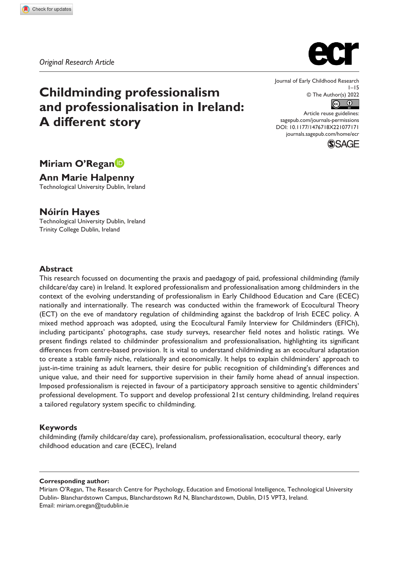# **Childminding professionalism and professionalisation in Ireland: A different story**

Journal of Early Childhood Research  $1 - 15$ © The Author(s) 2022  $\circledcirc$ 

DOI: 10.1177/1476718X221077171 Article reuse guidelines: [sagepub.com/journals-permissions](https://uk.sagepub.com/en-gb/journals-permissions) [journals.sagepub.com/home/ecr](https://journals.sagepub.com/home/ecr)



**Miriam O'Regan**

**Ann Marie Halpenny** Technological University Dublin, Ireland

**Nóirín Hayes** Technological University Dublin, Ireland Trinity College Dublin, Ireland

#### **Abstract**

This research focussed on documenting the praxis and paedagogy of paid, professional childminding (family childcare/day care) in Ireland. It explored professionalism and professionalisation among childminders in the context of the evolving understanding of professionalism in Early Childhood Education and Care (ECEC) nationally and internationally. The research was conducted within the framework of Ecocultural Theory (ECT) on the eve of mandatory regulation of childminding against the backdrop of Irish ECEC policy. A mixed method approach was adopted, using the Ecocultural Family Interview for Childminders (EFICh), including participants' photographs, case study surveys, researcher field notes and holistic ratings. We present findings related to childminder professionalism and professionalisation, highlighting its significant differences from centre-based provision. It is vital to understand childminding as an ecocultural adaptation to create a stable family niche, relationally and economically. It helps to explain childminders' approach to just-in-time training as adult learners, their desire for public recognition of childminding's differences and unique value, and their need for supportive supervision in their family home ahead of annual inspection. Imposed professionalism is rejected in favour of a participatory approach sensitive to agentic childminders' professional development. To support and develop professional 21st century childminding, Ireland requires a tailored regulatory system specific to childminding.

#### **Keywords**

childminding (family childcare/day care), professionalism, professionalisation, ecocultural theory, early childhood education and care (ECEC), Ireland

#### **Corresponding author:**

Miriam O'Regan, The Research Centre for Psychology, Education and Emotional Intelligence, Technological University Dublin- Blanchardstown Campus, Blanchardstown Rd N, Blanchardstown, Dublin, D15 VPT3, Ireland. Email: [miriam.oregan@tudublin.ie](mailto:miriam.oregan@tudublin.ie)

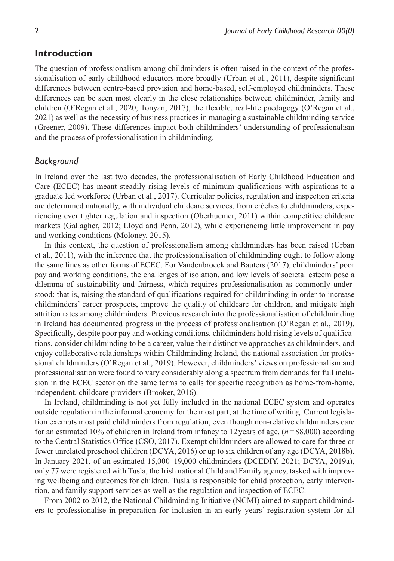# **Introduction**

The question of professionalism among childminders is often raised in the context of the professionalisation of early childhood educators more broadly (Urban et al., 2011), despite significant differences between centre-based provision and home-based, self-employed childminders. These differences can be seen most clearly in the close relationships between childminder, family and children (O'Regan et al., 2020; Tonyan, 2017), the flexible, real-life paedagogy (O'Regan et al., 2021) as well as the necessity of business practices in managing a sustainable childminding service (Greener, 2009). These differences impact both childminders' understanding of professionalism and the process of professionalisation in childminding.

# *Background*

In Ireland over the last two decades, the professionalisation of Early Childhood Education and Care (ECEC) has meant steadily rising levels of minimum qualifications with aspirations to a graduate led workforce (Urban et al., 2017). Curricular policies, regulation and inspection criteria are determined nationally, with individual childcare services, from crèches to childminders, experiencing ever tighter regulation and inspection (Oberhuemer, 2011) within competitive childcare markets (Gallagher, 2012; Lloyd and Penn, 2012), while experiencing little improvement in pay and working conditions (Moloney, 2015).

In this context, the question of professionalism among childminders has been raised (Urban et al., 2011), with the inference that the professionalisation of childminding ought to follow along the same lines as other forms of ECEC. For Vandenbroeck and Bauters (2017), childminders' poor pay and working conditions, the challenges of isolation, and low levels of societal esteem pose a dilemma of sustainability and fairness, which requires professionalisation as commonly understood: that is, raising the standard of qualifications required for childminding in order to increase childminders' career prospects, improve the quality of childcare for children, and mitigate high attrition rates among childminders. Previous research into the professionalisation of childminding in Ireland has documented progress in the process of professionalisation (O'Regan et al., 2019). Specifically, despite poor pay and working conditions, childminders hold rising levels of qualifications, consider childminding to be a career, value their distinctive approaches as childminders, and enjoy collaborative relationships within Childminding Ireland, the national association for professional childminders (O'Regan et al., 2019). However, childminders' views on professionalism and professionalisation were found to vary considerably along a spectrum from demands for full inclusion in the ECEC sector on the same terms to calls for specific recognition as home-from-home, independent, childcare providers (Brooker, 2016).

In Ireland, childminding is not yet fully included in the national ECEC system and operates outside regulation in the informal economy for the most part, at the time of writing. Current legislation exempts most paid childminders from regulation, even though non-relative childminders care for an estimated 10% of children in Ireland from infancy to 12years of age, (*n*=88,000) according to the Central Statistics Office (CSO, 2017). Exempt childminders are allowed to care for three or fewer unrelated preschool children (DCYA, 2016) or up to six children of any age (DCYA, 2018b). In January 2021, of an estimated 15,000–19,000 childminders (DCEDIY, 2021; DCYA, 2019a), only 77 were registered with Tusla, the Irish national Child and Family agency, tasked with improving wellbeing and outcomes for children. Tusla is responsible for child protection, early intervention, and family support services as well as the regulation and inspection of ECEC.

From 2002 to 2012, the National Childminding Initiative (NCMI) aimed to support childminders to professionalise in preparation for inclusion in an early years' registration system for all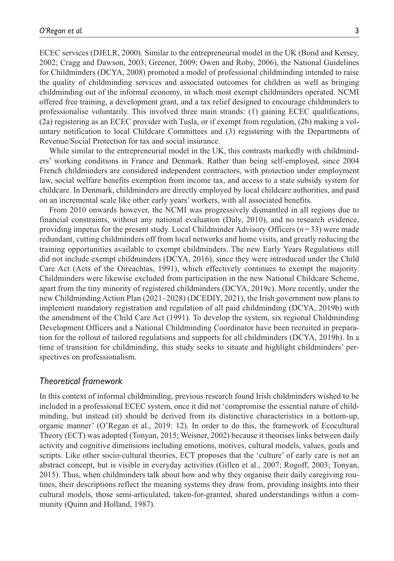ECEC services (DJELR, 2000). Similar to the entrepreneurial model in the UK (Bond and Kersey, 2002; Cragg and Dawson, 2003; Greener, 2009; Owen and Roby, 2006), the National Guidelines for Childminders (DCYA, 2008) promoted a model of professional childminding intended to raise the quality of childminding services and associated outcomes for children as well as bringing childminding out of the informal economy, in which most exempt childminders operated. NCMI offered free training, a development grant, and a tax relief designed to encourage childminders to professionalise voluntarily. This involved three main strands: (1) gaining ECEC qualifications, (2a) registering as an ECEC provider with Tusla, or if exempt from regulation, (2b) making a voluntary notification to local Childcare Committees and (3) registering with the Departments of Revenue/Social Protection for tax and social insurance.

While similar to the entrepreneurial model in the UK, this contrasts markedly with childminders' working conditions in France and Denmark. Rather than being self-employed, since 2004 French childminders are considered independent contractors, with protection under employment law, social welfare benefits exemption from income tax, and access to a state subsidy system for childcare. In Denmark, childminders are directly employed by local childcare authorities, and paid on an incremental scale like other early years' workers, with all associated benefits.

From 2010 onwards however, the NCMI was progressively dismantled in all regions due to financial constraints, without any national evaluation (Daly, 2010), and no research evidence, providing impetus for the present study. Local Childminder Advisory Officers (*n*=33) were made redundant, cutting childminders off from local networks and home visits, and greatly reducing the training opportunities available to exempt childminders. The new Early Years Regulations still did not include exempt childminders (DCYA, 2016), since they were introduced under the Child Care Act (Acts of the Oireachtas, 1991), which effectively continues to exempt the majority. Childminders were likewise excluded from participation in the new National Childcare Scheme, apart from the tiny minority of registered childminders (DCYA, 2019c). More recently, under the new Childminding Action Plan (2021–2028) (DCEDIY, 2021), the Irish government now plans to implement mandatory registration and regulation of all paid childminding (DCYA, 2019b) with the amendment of the Child Care Act (1991). To develop the system, six regional Childminding Development Officers and a National Childminding Coordinator have been recruited in preparation for the rollout of tailored regulations and supports for all childminders (DCYA, 2019b). In a time of transition for childminding, this study seeks to situate and highlight childminders' perspectives on professionalism.

#### *Theoretical framework*

In this context of informal childminding, previous research found Irish childminders wished to be included in a professional ECEC system, once it did not 'compromise the essential nature of childminding, but instead (it) should be derived from its distinctive characteristics in a bottom-up, organic manner' (O'Regan et al., 2019: 12). In order to do this, the framework of Ecocultural Theory (ECT) was adopted (Tonyan, 2015; Weisner, 2002) because it theorises links between daily activity and cognitive dimensions including emotions, motives, cultural models, values, goals and scripts. Like other socio-cultural theories, ECT proposes that the 'culture' of early care is not an abstract concept, but is visible in everyday activities (Gillen et al., 2007; Rogoff, 2003; Tonyan, 2015). Thus, when childminders talk about how and why they organise their daily caregiving routines, their descriptions reflect the meaning systems they draw from, providing insights into their cultural models, those semi-articulated, taken-for-granted, shared understandings within a community (Quinn and Holland, 1987).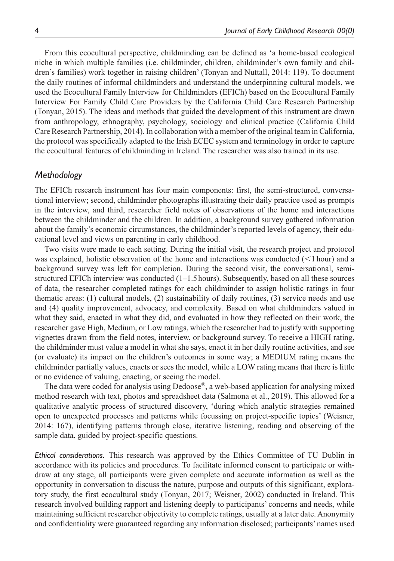From this ecocultural perspective, childminding can be defined as 'a home-based ecological niche in which multiple families (i.e. childminder, children, childminder's own family and children's families) work together in raising children' (Tonyan and Nuttall, 2014: 119). To document the daily routines of informal childminders and understand the underpinning cultural models, we used the Ecocultural Family Interview for Childminders (EFICh) based on the Ecocultural Family Interview For Family Child Care Providers by the California Child Care Research Partnership (Tonyan, 2015). The ideas and methods that guided the development of this instrument are drawn from anthropology, ethnography, psychology, sociology and clinical practice (California Child Care Research Partnership, 2014). In collaboration with a member of the original team in California, the protocol was specifically adapted to the Irish ECEC system and terminology in order to capture the ecocultural features of childminding in Ireland. The researcher was also trained in its use.

#### *Methodology*

The EFICh research instrument has four main components: first, the semi-structured, conversational interview; second, childminder photographs illustrating their daily practice used as prompts in the interview, and third, researcher field notes of observations of the home and interactions between the childminder and the children. In addition, a background survey gathered information about the family's economic circumstances, the childminder's reported levels of agency, their educational level and views on parenting in early childhood.

Two visits were made to each setting. During the initial visit, the research project and protocol was explained, holistic observation of the home and interactions was conducted (<1 hour) and a background survey was left for completion. During the second visit, the conversational, semistructured EFICh interview was conducted (1–1.5hours). Subsequently, based on all these sources of data, the researcher completed ratings for each childminder to assign holistic ratings in four thematic areas: (1) cultural models, (2) sustainability of daily routines, (3) service needs and use and (4) quality improvement, advocacy, and complexity. Based on what childminders valued in what they said, enacted in what they did, and evaluated in how they reflected on their work, the researcher gave High, Medium, or Low ratings, which the researcher had to justify with supporting vignettes drawn from the field notes, interview, or background survey. To receive a HIGH rating, the childminder must value a model in what she says, enact it in her daily routine activities, and see (or evaluate) its impact on the children's outcomes in some way; a MEDIUM rating means the childminder partially values, enacts or sees the model, while a LOW rating means that there is little or no evidence of valuing, enacting, or seeing the model.

The data were coded for analysis using Dedoose®, a web-based application for analysing mixed method research with text, photos and spreadsheet data (Salmona et al., 2019). This allowed for a qualitative analytic process of structured discovery, 'during which analytic strategies remained open to unexpected processes and patterns while focussing on project-specific topics' (Weisner, 2014: 167), identifying patterns through close, iterative listening, reading and observing of the sample data, guided by project-specific questions.

*Ethical considerations.* This research was approved by the Ethics Committee of TU Dublin in accordance with its policies and procedures. To facilitate informed consent to participate or withdraw at any stage, all participants were given complete and accurate information as well as the opportunity in conversation to discuss the nature, purpose and outputs of this significant, exploratory study, the first ecocultural study (Tonyan, 2017; Weisner, 2002) conducted in Ireland. This research involved building rapport and listening deeply to participants' concerns and needs, while maintaining sufficient researcher objectivity to complete ratings, usually at a later date. Anonymity and confidentiality were guaranteed regarding any information disclosed; participants' names used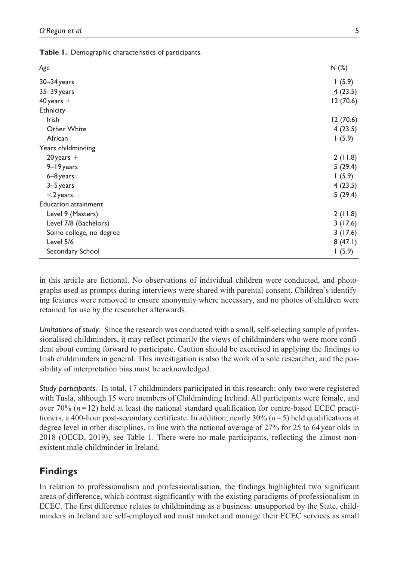|  | Table 1. Demographic characteristics of participants. |  |  |  |
|--|-------------------------------------------------------|--|--|--|
|--|-------------------------------------------------------|--|--|--|

| Age                         | N(%)      |
|-----------------------------|-----------|
| 30-34 years                 | 1(5.9)    |
| 35-39 years                 | 4(23.5)   |
| $40$ years +                | 12(70.6)  |
| Ethnicity                   |           |
| <b>Irish</b>                | 12 (70.6) |
| Other White                 | 4(23.5)   |
| African                     | 1(5.9)    |
| Years childminding          |           |
| $20$ years +                | 2(11.8)   |
| 9-19 years                  | 5(29.4)   |
| 6-8 years                   | 1(5.9)    |
| 3-5 years                   | 4(23.5)   |
| $<$ 2 years                 | 5(29.4)   |
| <b>Education attainment</b> |           |
| Level 9 (Masters)           | 2(11.8)   |
| Level 7/8 (Bachelors)       | 3(17.6)   |
| Some college, no degree     | 3(17.6)   |
| Level 5/6                   | 8(47.1)   |
| Secondary School            | 1(5.9)    |

in this article are fictional. No observations of individual children were conducted, and photographs used as prompts during interviews were shared with parental consent. Children's identifying features were removed to ensure anonymity where necessary, and no photos of children were retained for use by the researcher afterwards.

*Limitations of study.* Since the research was conducted with a small, self-selecting sample of professionalised childminders, it may reflect primarily the views of childminders who were more confident about coming forward to participate. Caution should be exercised in applying the findings to Irish childminders in general. This investigation is also the work of a sole researcher, and the possibility of interpretation bias must be acknowledged.

*Study participants.* In total, 17 childminders participated in this research: only two were registered with Tusla, although 15 were members of Childminding Ireland. All participants were female, and over 70% (*n*=12) held at least the national standard qualification for centre-based ECEC practitioners, a 400-hour post-secondary certificate. In addition, nearly 30% (*n*=5) held qualifications at degree level in other disciplines, in line with the national average of 27% for 25 to 64year olds in 2018 (OECD, 2019), see Table 1. There were no male participants, reflecting the almost nonexistent male childminder in Ireland.

# **Findings**

In relation to professionalism and professionalisation, the findings highlighted two significant areas of difference, which contrast significantly with the existing paradigms of professionalism in ECEC. The first difference relates to childminding as a business: unsupported by the State, childminders in Ireland are self-employed and must market and manage their ECEC services as small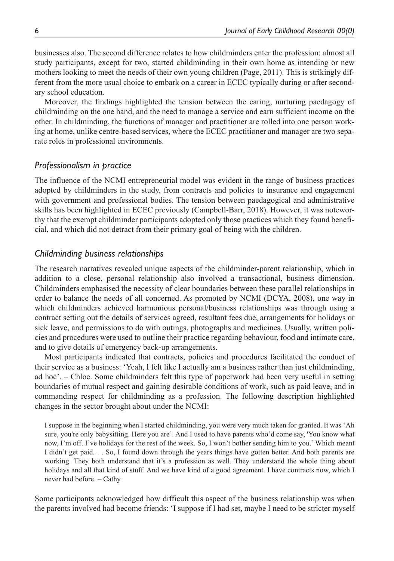businesses also. The second difference relates to how childminders enter the profession: almost all study participants, except for two, started childminding in their own home as intending or new mothers looking to meet the needs of their own young children (Page, 2011). This is strikingly different from the more usual choice to embark on a career in ECEC typically during or after secondary school education.

Moreover, the findings highlighted the tension between the caring, nurturing paedagogy of childminding on the one hand, and the need to manage a service and earn sufficient income on the other. In childminding, the functions of manager and practitioner are rolled into one person working at home, unlike centre-based services, where the ECEC practitioner and manager are two separate roles in professional environments.

# *Professionalism in practice*

The influence of the NCMI entrepreneurial model was evident in the range of business practices adopted by childminders in the study, from contracts and policies to insurance and engagement with government and professional bodies. The tension between paedagogical and administrative skills has been highlighted in ECEC previously (Campbell-Barr, 2018). However, it was noteworthy that the exempt childminder participants adopted only those practices which they found beneficial, and which did not detract from their primary goal of being with the children.

#### *Childminding business relationships*

The research narratives revealed unique aspects of the childminder-parent relationship, which in addition to a close, personal relationship also involved a transactional, business dimension. Childminders emphasised the necessity of clear boundaries between these parallel relationships in order to balance the needs of all concerned. As promoted by NCMI (DCYA, 2008), one way in which childminders achieved harmonious personal/business relationships was through using a contract setting out the details of services agreed, resultant fees due, arrangements for holidays or sick leave, and permissions to do with outings, photographs and medicines. Usually, written policies and procedures were used to outline their practice regarding behaviour, food and intimate care, and to give details of emergency back-up arrangements.

Most participants indicated that contracts, policies and procedures facilitated the conduct of their service as a business: 'Yeah, I felt like I actually am a business rather than just childminding, ad hoc'. – Chloe. Some childminders felt this type of paperwork had been very useful in setting boundaries of mutual respect and gaining desirable conditions of work, such as paid leave, and in commanding respect for childminding as a profession. The following description highlighted changes in the sector brought about under the NCMI:

I suppose in the beginning when I started childminding, you were very much taken for granted. It was 'Ah sure, you're only babysitting. Here you are'. And I used to have parents who'd come say, 'You know what now, I'm off. I've holidays for the rest of the week. So, I won't bother sending him to you.' Which meant I didn't get paid. . . So, I found down through the years things have gotten better. And both parents are working. They both understand that it's a profession as well. They understand the whole thing about holidays and all that kind of stuff. And we have kind of a good agreement. I have contracts now, which I never had before. – Cathy

Some participants acknowledged how difficult this aspect of the business relationship was when the parents involved had become friends: 'I suppose if I had set, maybe I need to be stricter myself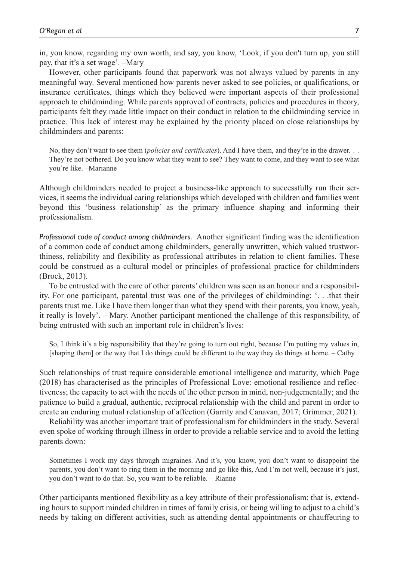in, you know, regarding my own worth, and say, you know, 'Look, if you don't turn up, you still pay, that it's a set wage'. –Mary

However, other participants found that paperwork was not always valued by parents in any meaningful way. Several mentioned how parents never asked to see policies, or qualifications, or insurance certificates, things which they believed were important aspects of their professional approach to childminding. While parents approved of contracts, policies and procedures in theory, participants felt they made little impact on their conduct in relation to the childminding service in practice. This lack of interest may be explained by the priority placed on close relationships by childminders and parents:

No, they don't want to see them (*policies and certificates*). And I have them, and they're in the drawer. . . They're not bothered. Do you know what they want to see? They want to come, and they want to see what you're like. –Marianne

Although childminders needed to project a business-like approach to successfully run their services, it seems the individual caring relationships which developed with children and families went beyond this 'business relationship' as the primary influence shaping and informing their professionalism.

*Professional code of conduct among childminders.* Another significant finding was the identification of a common code of conduct among childminders, generally unwritten, which valued trustworthiness, reliability and flexibility as professional attributes in relation to client families. These could be construed as a cultural model or principles of professional practice for childminders (Brock, 2013).

To be entrusted with the care of other parents' children was seen as an honour and a responsibility. For one participant, parental trust was one of the privileges of childminding: '. . .that their parents trust me. Like I have them longer than what they spend with their parents, you know, yeah, it really is lovely'. – Mary. Another participant mentioned the challenge of this responsibility, of being entrusted with such an important role in children's lives:

So, I think it's a big responsibility that they're going to turn out right, because I'm putting my values in, [shaping them] or the way that I do things could be different to the way they do things at home. – Cathy

Such relationships of trust require considerable emotional intelligence and maturity, which Page (2018) has characterised as the principles of Professional Love: emotional resilience and reflectiveness; the capacity to act with the needs of the other person in mind, non-judgementally; and the patience to build a gradual, authentic, reciprocal relationship with the child and parent in order to create an enduring mutual relationship of affection (Garrity and Canavan, 2017; Grimmer, 2021).

Reliability was another important trait of professionalism for childminders in the study. Several even spoke of working through illness in order to provide a reliable service and to avoid the letting parents down:

Sometimes I work my days through migraines. And it's, you know, you don't want to disappoint the parents, you don't want to ring them in the morning and go like this, And I'm not well, because it's just, you don't want to do that. So, you want to be reliable. – Rianne

Other participants mentioned flexibility as a key attribute of their professionalism: that is, extending hours to support minded children in times of family crisis, or being willing to adjust to a child's needs by taking on different activities, such as attending dental appointments or chauffeuring to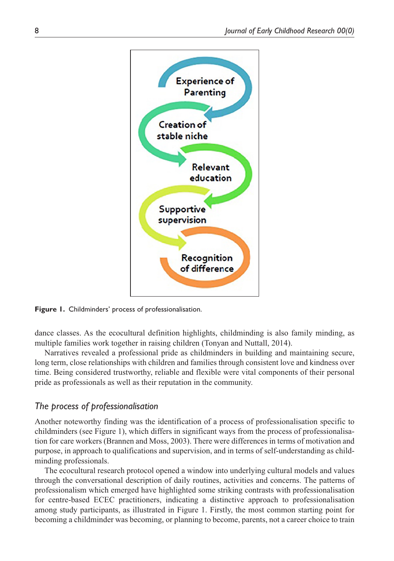

**Figure 1.** Childminders' process of professionalisation.

dance classes. As the ecocultural definition highlights, childminding is also family minding, as multiple families work together in raising children (Tonyan and Nuttall, 2014).

Narratives revealed a professional pride as childminders in building and maintaining secure, long term, close relationships with children and families through consistent love and kindness over time. Being considered trustworthy, reliable and flexible were vital components of their personal pride as professionals as well as their reputation in the community.

# *The process of professionalisation*

Another noteworthy finding was the identification of a process of professionalisation specific to childminders (see Figure 1), which differs in significant ways from the process of professionalisation for care workers (Brannen and Moss, 2003). There were differences in terms of motivation and purpose, in approach to qualifications and supervision, and in terms of self-understanding as childminding professionals.

The ecocultural research protocol opened a window into underlying cultural models and values through the conversational description of daily routines, activities and concerns. The patterns of professionalism which emerged have highlighted some striking contrasts with professionalisation for centre-based ECEC practitioners, indicating a distinctive approach to professionalisation among study participants, as illustrated in Figure 1. Firstly, the most common starting point for becoming a childminder was becoming, or planning to become, parents, not a career choice to train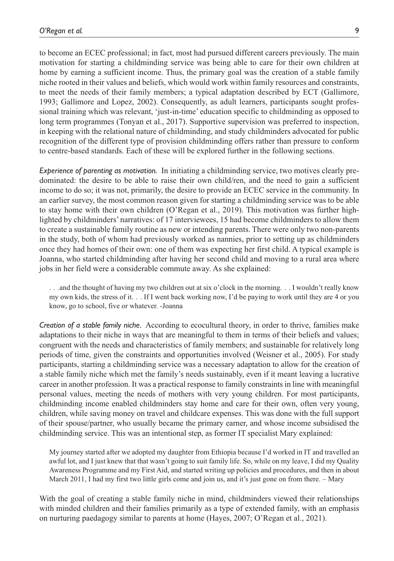to become an ECEC professional; in fact, most had pursued different careers previously. The main motivation for starting a childminding service was being able to care for their own children at home by earning a sufficient income. Thus, the primary goal was the creation of a stable family niche rooted in their values and beliefs, which would work within family resources and constraints, to meet the needs of their family members; a typical adaptation described by ECT (Gallimore, 1993; Gallimore and Lopez, 2002). Consequently, as adult learners, participants sought professional training which was relevant, 'just-in-time' education specific to childminding as opposed to long term programmes (Tonyan et al., 2017). Supportive supervision was preferred to inspection, in keeping with the relational nature of childminding, and study childminders advocated for public recognition of the different type of provision childminding offers rather than pressure to conform to centre-based standards. Each of these will be explored further in the following sections.

*Experience of parenting as motivation.* In initiating a childminding service, two motives clearly predominated: the desire to be able to raise their own child/ren, and the need to gain a sufficient income to do so; it was not, primarily, the desire to provide an ECEC service in the community. In an earlier survey, the most common reason given for starting a childminding service was to be able to stay home with their own children (O'Regan et al., 2019). This motivation was further highlighted by childminders' narratives: of 17 interviewees, 15 had become childminders to allow them to create a sustainable family routine as new or intending parents. There were only two non-parents in the study, both of whom had previously worked as nannies, prior to setting up as childminders once they had homes of their own: one of them was expecting her first child. A typical example is Joanna, who started childminding after having her second child and moving to a rural area where jobs in her field were a considerable commute away. As she explained:

. . .and the thought of having my two children out at six o'clock in the morning. . . I wouldn't really know my own kids, the stress of it. . . If I went back working now, I'd be paying to work until they are 4 or you know, go to school, five or whatever. -Joanna

*Creation of a stable family niche.* According to ecocultural theory, in order to thrive, families make adaptations to their niche in ways that are meaningful to them in terms of their beliefs and values; congruent with the needs and characteristics of family members; and sustainable for relatively long periods of time, given the constraints and opportunities involved (Weisner et al., 2005). For study participants, starting a childminding service was a necessary adaptation to allow for the creation of a stable family niche which met the family's needs sustainably, even if it meant leaving a lucrative career in another profession. It was a practical response to family constraints in line with meaningful personal values, meeting the needs of mothers with very young children. For most participants, childminding income enabled childminders stay home and care for their own, often very young, children, while saving money on travel and childcare expenses. This was done with the full support of their spouse/partner, who usually became the primary earner, and whose income subsidised the childminding service. This was an intentional step, as former IT specialist Mary explained:

My journey started after we adopted my daughter from Ethiopia because I'd worked in IT and travelled an awful lot, and I just knew that that wasn't going to suit family life. So, while on my leave, I did my Quality Awareness Programme and my First Aid, and started writing up policies and procedures, and then in about March 2011, I had my first two little girls come and join us, and it's just gone on from there. – Mary

With the goal of creating a stable family niche in mind, childminders viewed their relationships with minded children and their families primarily as a type of extended family, with an emphasis on nurturing paedagogy similar to parents at home (Hayes, 2007; O'Regan et al., 2021).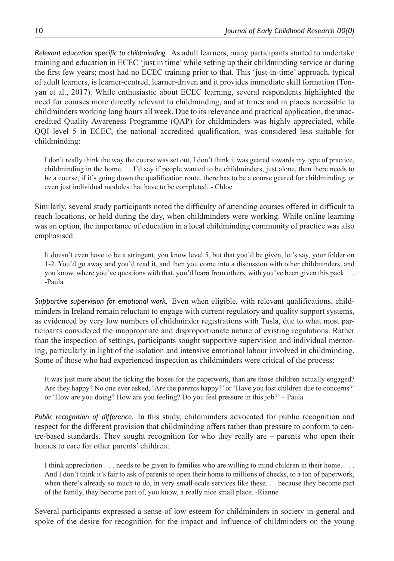*Relevant education specific to childminding.* As adult learners, many participants started to undertake training and education in ECEC 'just in time' while setting up their childminding service or during the first few years; most had no ECEC training prior to that. This 'just-in-time' approach, typical of adult learners, is learner-centred, learner-driven and it provides immediate skill formation (Tonyan et al., 2017). While enthusiastic about ECEC learning, several respondents highlighted the need for courses more directly relevant to childminding, and at times and in places accessible to childminders working long hours all week. Due to its relevance and practical application, the unaccredited Quality Awareness Programme (QAP) for childminders was highly appreciated, while QQI level 5 in ECEC, the national accredited qualification, was considered less suitable for childminding:

I don't really think the way the course was set out, I don't think it was geared towards my type of practice, childminding in the home. . . I'd say if people wanted to be childminders, just alone, then there needs to be a course, if it's going down the qualification route, there has to be a course geared for childminding, or even just individual modules that have to be completed. - Chloe

Similarly, several study participants noted the difficulty of attending courses offered in difficult to reach locations, or held during the day, when childminders were working. While online learning was an option, the importance of education in a local childminding community of practice was also emphasised:

It doesn't even have to be a stringent, you know level 5, but that you'd be given, let's say, your folder on 1-2. You'd go away and you'd read it, and then you come into a discussion with other childminders, and you know, where you've questions with that, you'd learn from others, with you've been given this pack. . . -Paula

*Supportive supervision for emotional work.* Even when eligible, with relevant qualifications, childminders in Ireland remain reluctant to engage with current regulatory and quality support systems, as evidenced by very low numbers of childminder registrations with Tusla, due to what most participants considered the inappropriate and disproportionate nature of existing regulations. Rather than the inspection of settings, participants sought supportive supervision and individual mentoring, particularly in light of the isolation and intensive emotional labour involved in childminding. Some of those who had experienced inspection as childminders were critical of the process:

It was just more about the ticking the boxes for the paperwork, than are those children actually engaged? Are they happy? No one ever asked, 'Are the parents happy?' or 'Have you lost children due to concerns?' or 'How are you doing? How are you feeling? Do you feel pressure in this job?' – Paula

*Public recognition of difference.* In this study, childminders advocated for public recognition and respect for the different provision that childminding offers rather than pressure to conform to centre-based standards. They sought recognition for who they really are – parents who open their homes to care for other parents' children:

I think appreciation . . . needs to be given to families who are willing to mind children in their home. . . . And I don't think it's fair to ask of parents to open their home to millions of checks, to a ton of paperwork, when there's already so much to do, in very small-scale services like these. . . because they become part of the family, they become part of, you know, a really nice small place. -Rianne

Several participants expressed a sense of low esteem for childminders in society in general and spoke of the desire for recognition for the impact and influence of childminders on the young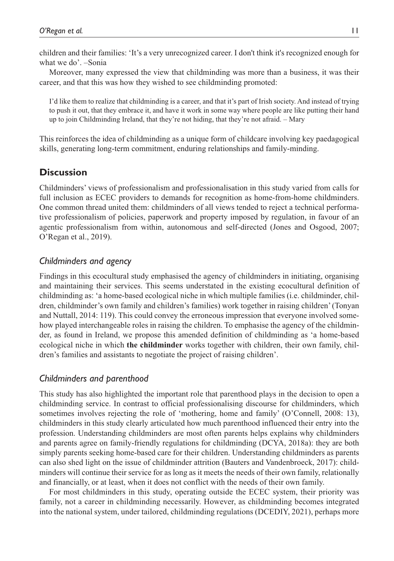children and their families: 'It's a very unrecognized career. I don't think it's recognized enough for what we do'. –Sonia

Moreover, many expressed the view that childminding was more than a business, it was their career, and that this was how they wished to see childminding promoted:

I'd like them to realize that childminding is a career, and that it's part of Irish society. And instead of trying to push it out, that they embrace it, and have it work in some way where people are like putting their hand up to join Childminding Ireland, that they're not hiding, that they're not afraid. – Mary

This reinforces the idea of childminding as a unique form of childcare involving key paedagogical skills, generating long-term commitment, enduring relationships and family-minding.

## **Discussion**

Childminders' views of professionalism and professionalisation in this study varied from calls for full inclusion as ECEC providers to demands for recognition as home-from-home childminders. One common thread united them: childminders of all views tended to reject a technical performative professionalism of policies, paperwork and property imposed by regulation, in favour of an agentic professionalism from within, autonomous and self-directed (Jones and Osgood, 2007; O'Regan et al., 2019).

### *Childminders and agency*

Findings in this ecocultural study emphasised the agency of childminders in initiating, organising and maintaining their services. This seems understated in the existing ecocultural definition of childminding as: 'a home-based ecological niche in which multiple families (i.e. childminder, children, childminder's own family and children's families) work together in raising children' (Tonyan and Nuttall, 2014: 119). This could convey the erroneous impression that everyone involved somehow played interchangeable roles in raising the children. To emphasise the agency of the childminder, as found in Ireland, we propose this amended definition of childminding as 'a home-based ecological niche in which **the childminder** works together with children, their own family, children's families and assistants to negotiate the project of raising children'.

#### *Childminders and parenthood*

This study has also highlighted the important role that parenthood plays in the decision to open a childminding service. In contrast to official professionalising discourse for childminders, which sometimes involves rejecting the role of 'mothering, home and family' (O'Connell, 2008: 13), childminders in this study clearly articulated how much parenthood influenced their entry into the profession. Understanding childminders are most often parents helps explains why childminders and parents agree on family-friendly regulations for childminding (DCYA, 2018a): they are both simply parents seeking home-based care for their children. Understanding childminders as parents can also shed light on the issue of childminder attrition (Bauters and Vandenbroeck, 2017): childminders will continue their service for as long as it meets the needs of their own family, relationally and financially, or at least, when it does not conflict with the needs of their own family.

For most childminders in this study, operating outside the ECEC system, their priority was family, not a career in childminding necessarily. However, as childminding becomes integrated into the national system, under tailored, childminding regulations (DCEDIY, 2021), perhaps more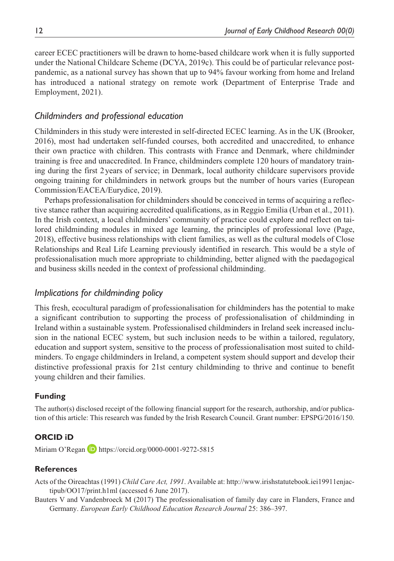career ECEC practitioners will be drawn to home-based childcare work when it is fully supported under the National Childcare Scheme (DCYA, 2019c). This could be of particular relevance postpandemic, as a national survey has shown that up to 94% favour working from home and Ireland has introduced a national strategy on remote work (Department of Enterprise Trade and Employment, 2021).

# *Childminders and professional education*

Childminders in this study were interested in self-directed ECEC learning. As in the UK (Brooker, 2016), most had undertaken self-funded courses, both accredited and unaccredited, to enhance their own practice with children. This contrasts with France and Denmark, where childminder training is free and unaccredited. In France, childminders complete 120 hours of mandatory training during the first 2 years of service; in Denmark, local authority childcare supervisors provide ongoing training for childminders in network groups but the number of hours varies (European Commission/EACEA/Eurydice, 2019).

Perhaps professionalisation for childminders should be conceived in terms of acquiring a reflective stance rather than acquiring accredited qualifications, as in Reggio Emilia (Urban et al., 2011). In the Irish context, a local childminders' community of practice could explore and reflect on tailored childminding modules in mixed age learning, the principles of professional love (Page, 2018), effective business relationships with client families, as well as the cultural models of Close Relationships and Real Life Learning previously identified in research. This would be a style of professionalisation much more appropriate to childminding, better aligned with the paedagogical and business skills needed in the context of professional childminding.

#### *Implications for childminding policy*

This fresh, ecocultural paradigm of professionalisation for childminders has the potential to make a significant contribution to supporting the process of professionalisation of childminding in Ireland within a sustainable system. Professionalised childminders in Ireland seek increased inclusion in the national ECEC system, but such inclusion needs to be within a tailored, regulatory, education and support system, sensitive to the process of professionalisation most suited to childminders. To engage childminders in Ireland, a competent system should support and develop their distinctive professional praxis for 21st century childminding to thrive and continue to benefit young children and their families.

#### **Funding**

The author(s) disclosed receipt of the following financial support for the research, authorship, and/or publication of this article: This research was funded by the Irish Research Council. Grant number: EPSPG/2016/150.

#### **ORCID iD**

Miriam O'Regan **D** <https://orcid.org/0000-0001-9272-5815>

#### **References**

Acts of the Oireachtas (1991) *Child Care Act, 1991*. Available at: [http://www.irishstatutebook.iei19911enjac](http://www.irishstatutebook.iei19911enjactipub/OO17/print.h1ml)[tipub/OO17/print.h1ml](http://www.irishstatutebook.iei19911enjactipub/OO17/print.h1ml) (accessed 6 June 2017).

Bauters V and Vandenbroeck M (2017) The professionalisation of family day care in Flanders, France and Germany. *European Early Childhood Education Research Journal* 25: 386–397.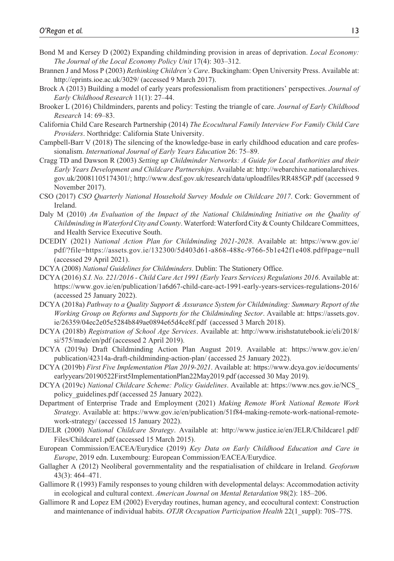- Bond M and Kersey D (2002) Expanding childminding provision in areas of deprivation. *Local Economy: The Journal of the Local Economy Policy Unit* 17(4): 303–312.
- Brannen J and Moss P (2003) *Rethinking Children's Care*. Buckingham: Open University Press. Available at: <http://eprints.ioe.ac.uk/3029/>(accessed 9 March 2017).
- Brock A (2013) Building a model of early years professionalism from practitioners' perspectives. *Journal of Early Childhood Research* 11(1): 27–44.
- Brooker L (2016) Childminders, parents and policy: Testing the triangle of care. *Journal of Early Childhood Research* 14: 69–83.
- California Child Care Research Partnership (2014) *The Ecocultural Family Interview For Family Child Care Providers*. Northridge: California State University.
- Campbell-Barr V (2018) The silencing of the knowledge-base in early childhood education and care professionalism. *International Journal of Early Years Education* 26: 75–89.
- Cragg TD and Dawson R (2003) *Setting up Childminder Networks: A Guide for Local Authorities and their Early Years Development and Childcare Partnerships*. Available at: [http://webarchive.nationalarchives.](http://webarchive.nationalarchives.gov.uk/20081105174301/) [gov.uk/20081105174301/;](http://webarchive.nationalarchives.gov.uk/20081105174301/) <http://www.dcsf.gov.uk/research/data/uploadfiles/RR485GP.pdf> (accessed 9 November 2017).
- CSO (2017) *CSO Quarterly National Household Survey Module on Childcare 2017*. Cork: Government of Ireland.
- Daly M (2010) *An Evaluation of the Impact of the National Childminding Initiative on the Quality of Childminding in Waterford City and County*. Waterford: Waterford City & County Childcare Committees, and Health Service Executive South.
- DCEDIY (2021) *National Action Plan for Childminding 2021-2028*. Available at: [https://www.gov.ie/](https://www.gov.ie/pdf/?file=https://assets.gov.ie/132300/5d403d61-a868-488c-9766-5b1e42f1e408.pdf#page=null) [pdf/?file=https://assets.gov.ie/132300/5d403d61-a868-488c-9766-5b1e42f1e408.pdf#page=null](https://www.gov.ie/pdf/?file=https://assets.gov.ie/132300/5d403d61-a868-488c-9766-5b1e42f1e408.pdf#page=null) (accessed 29 April 2021).
- DCYA (2008) *National Guidelines for Childminders*. Dublin: The Stationery Office.
- DCYA (2016) *S.I. No. 221/2016 Child Care Act 1991 (Early Years Services) Regulations 2016*. Available at: https://www.gov.ie/en/publication/1a6d67-child-care-act-1991-early-years-services-regulations-2016/ (accessed 25 January 2022).
- DCYA (2018a) *Pathway to a Quality Support & Assurance System for Childminding: Summary Report of the Working Group on Reforms and Supports for the Childminding Sector*. Available at: [https://assets.gov.](https://assets.gov.ie/26359/04ec2e05e5284b849ae0894e65d4ce8f.pdf) [ie/26359/04ec2e05e5284b849ae0894e65d4ce8f.pdf](https://assets.gov.ie/26359/04ec2e05e5284b849ae0894e65d4ce8f.pdf) (accessed 3 March 2018).
- DCYA (2018b) *Registration of School Age Services*. Available at: [http://www.irishstatutebook.ie/eli/2018/](http://www.irishstatutebook.ie/eli/2018/si/575/made/en/pdf) [si/575/made/en/pdf](http://www.irishstatutebook.ie/eli/2018/si/575/made/en/pdf) (accessed 2 April 2019).
- DCYA (2019a) Draft Childminding Action Plan August 2019. Available at: https://www.gov.ie/en/ publication/42314a-draft-childminding-action-plan/ (accessed 25 January 2022).
- DCYA (2019b) *First Five Implementation Plan 2019-2021*. Available at: [https://www.dcya.gov.ie/documents/](https://www.dcya.gov.ie/documents/earlyyears/20190522First5ImplementationPlan22May2019.pdf) [earlyyears/20190522First5ImplementationPlan22May2019.pdf](https://www.dcya.gov.ie/documents/earlyyears/20190522First5ImplementationPlan22May2019.pdf) (accessed 30 May 2019).
- DCYA (2019c) *National Childcare Scheme: Policy Guidelines*. Available at: https://www.ncs.gov.ie/NCS\_ policy\_guidelines.pdf (accessed 25 January 2022).
- Department of Enterprise Trade and Employment (2021) *Making Remote Work National Remote Work Strategy*. Available at: https://www.gov.ie/en/publication/51f84-making-remote-work-national-remotework-strategy/ (accessed 15 January 2022).
- DJELR (2000) *National Childcare Strategy*. Available at: [http://www.justice.ie/en/JELR/Childcare1.pdf/](http://www.justice.ie/en/JELR/Childcare1.pdf/Files/Childcare1.pdf) [Files/Childcare1.pdf](http://www.justice.ie/en/JELR/Childcare1.pdf/Files/Childcare1.pdf) (accessed 15 March 2015).
- European Commission/EACEA/Eurydice (2019) *Key Data on Early Childhood Education and Care in Europe*, 2019 edn. Luxembourg: European Commission/EACEA/Eurydice.
- Gallagher A (2012) Neoliberal governmentality and the respatialisation of childcare in Ireland. *Geoforum* 43(3): 464–471.
- Gallimore R (1993) Family responses to young children with developmental delays: Accommodation activity in ecological and cultural context. *American Journal on Mental Retardation* 98(2): 185–206.
- Gallimore R and Lopez EM (2002) Everyday routines, human agency, and ecocultural context: Construction and maintenance of individual habits. *OTJR Occupation Participation Health* 22(1\_suppl): 70S–77S.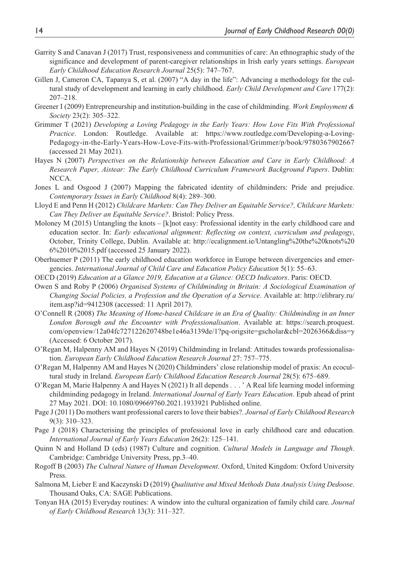- Garrity S and Canavan J (2017) Trust, responsiveness and communities of care: An ethnographic study of the significance and development of parent-caregiver relationships in Irish early years settings. *European Early Childhood Education Research Journal* 25(5): 747–767.
- Gillen J, Cameron CA, Tapanya S, et al. (2007) "A day in the life": Advancing a methodology for the cultural study of development and learning in early childhood. *Early Child Development and Care* 177(2): 207–218.
- Greener I (2009) Entrepreneurship and institution-building in the case of childminding. *Work Employment & Society* 23(2): 305–322.
- Grimmer T (2021) *Developing a Loving Pedagogy in the Early Years: How Love Fits With Professional Practice*. London: Routledge. Available at: [https://www.routledge.com/Developing-a-Loving-](https://www.routledge.com/Developing-a-Loving-Pedagogy-in-the-Early-Years-How-Love-Fits-with-Professional/Grimmer/p/book/9780367902667)[Pedagogy-in-the-Early-Years-How-Love-Fits-with-Professional/Grimmer/p/book/9780367902667](https://www.routledge.com/Developing-a-Loving-Pedagogy-in-the-Early-Years-How-Love-Fits-with-Professional/Grimmer/p/book/9780367902667)  (accessed 21 May 2021).
- Hayes N (2007) *Perspectives on the Relationship between Education and Care in Early Childhood: A Research Paper, Aistear: The Early Childhood Curriculum Framework Background Papers*. Dublin: NCCA.
- Jones L and Osgood J (2007) Mapping the fabricated identity of childminders: Pride and prejudice. *Contemporary Issues in Early Childhood* 8(4): 289–300.
- Lloyd E and Penn H (2012) *Childcare Markets: Can They Deliver an Equitable Service?, Childcare Markets: Can They Deliver an Equitable Service?*. Bristol: Policy Press.
- Moloney M (2015) Untangling the knots [k]not easy: Professional identity in the early childhood care and education sector. In: *Early educational alignment: Reflecting on context, curriculum and pedagogy*, October, Trinity College, Dublin. Available at: http://ecalignment.ie/Untangling%20the%20knots%20 6%2010%2015.pdf (accessed 25 January 2022).
- Oberhuemer P (2011) The early childhood education workforce in Europe between divergencies and emergencies. *International Journal of Child Care and Education Policy Education* 5(1): 55–63.
- OECD (2019) *Education at a Glance 2019, Education at a Glance: OECD Indicators*. Paris: OECD.
- Owen S and Roby P (2006) *Organised Systems of Childminding in Britain: A Sociological Examination of Changing Social Policies, a Profession and the Operation of a Service*. Available at: [http://elibrary.ru/](http://elibrary.ru/item.asp?id=9412308) [item.asp?id=9412308](http://elibrary.ru/item.asp?id=9412308) (accessed: 11 April 2017).
- O'Connell R (2008) *The Meaning of Home-based Childcare in an Era of Quality: Childminding in an Inner London Borough and the Encounter with Professionalisation*. Available at: [https://search.proquest.](https://search.proquest.com/openview/12a04fc727122620748be1e46a3139de/1?pq-origsite=gscholar&cbl=2026366&diss=y) [com/openview/12a04fc727122620748be1e46a3139de/1?pq-origsite=gscholar&cbl=2026366&diss=y](https://search.proquest.com/openview/12a04fc727122620748be1e46a3139de/1?pq-origsite=gscholar&cbl=2026366&diss=y)  (Accessed: 6 October 2017).
- O'Regan M, Halpenny AM and Hayes N (2019) Childminding in Ireland: Attitudes towards professionalisation. *European Early Childhood Education Research Journal* 27: 757–775.
- O'Regan M, Halpenny AM and Hayes N (2020) Childminders' close relationship model of praxis: An ecocultural study in Ireland. *European Early Childhood Education Research Journal* 28(5): 675–689.
- O'Regan M, Marie Halpenny A and Hayes N (2021) It all depends . . . ' A Real life learning model informing childminding pedagogy in Ireland. *International Journal of Early Years Education*. Epub ahead of print 27 May 2021. DOI: 10.1080/09669760.2021.1933921 Published online.
- Page J (2011) Do mothers want professional carers to love their babies?. *Journal of Early Childhood Research* 9(3): 310–323.
- Page J (2018) Characterising the principles of professional love in early childhood care and education. *International Journal of Early Years Education* 26(2): 125–141.
- Quinn N and Holland D (eds) (1987) Culture and cognition. *Cultural Models in Language and Though*. Cambridge: Cambridge University Press, pp.3–40.
- Rogoff B (2003) *The Cultural Nature of Human Development*. Oxford, United Kingdom: Oxford University Press.
- Salmona M, Lieber E and Kaczynski D (2019) *Qualitative and Mixed Methods Data Analysis Using Dedoose*. Thousand Oaks, CA: SAGE Publications.
- Tonyan HA (2015) Everyday routines: A window into the cultural organization of family child care. *Journal of Early Childhood Research* 13(3): 311–327.